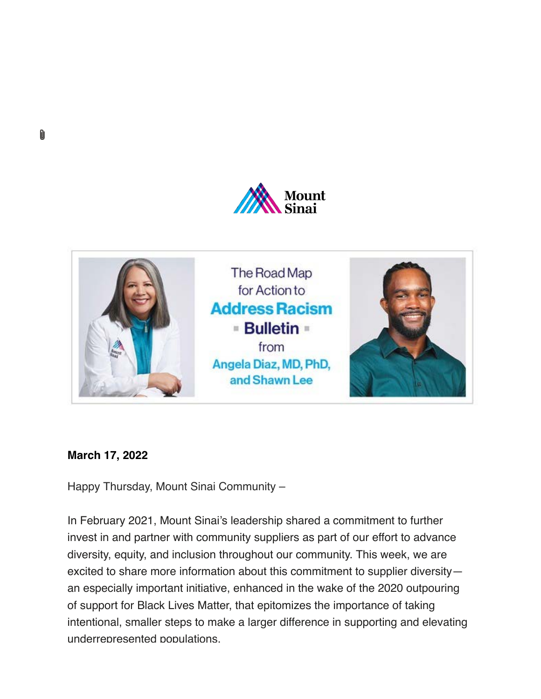



## **March 17, 2022**

M

Happy Thursday, Mount Sinai Community –

In February 2021, Mount Sinai's leadership shared a commitment to further invest in and partner with community suppliers as part of our effort to advance diversity, equity, and inclusion throughout our community. This week, we are excited to share more information about this commitment to supplier diversity an especially important initiative, enhanced in the wake of the 2020 outpouring of support for Black Lives Matter, that epitomizes the importance of taking intentional, smaller steps to make a larger difference in supporting and elevating underrepresented populations.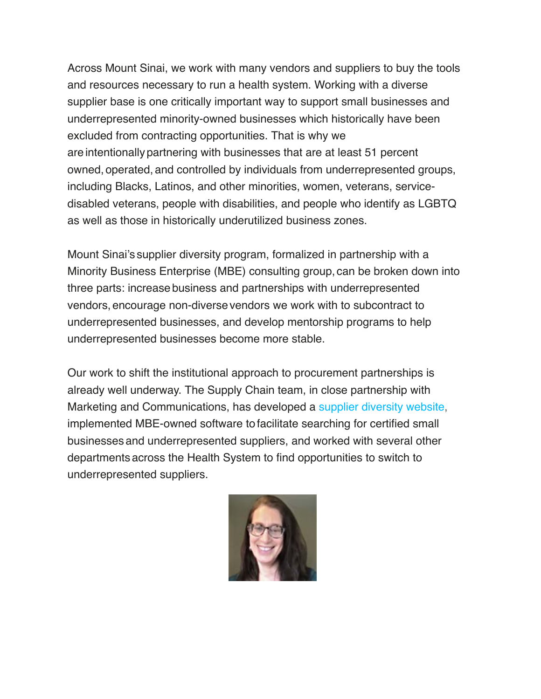Across Mount Sinai, we work with many vendors and suppliers to buy the tools and resources necessary to run a health system. Working with a diverse supplier base is one critically important way to support small businesses and underrepresented minority-owned businesses which historically have been excluded from contracting opportunities. That is why we areintentionallypartnering with businesses that are at least 51 percent owned, operated,and controlled by individuals from underrepresented groups, including Blacks, Latinos, and other minorities, women, veterans, servicedisabled veterans, people with disabilities, and people who identify as LGBTQ as well as those in historically underutilized business zones.

Mount Sinai's supplier diversity program, formalized in partnership with a Minority Business Enterprise (MBE) consulting group, can be broken down into three parts: increasebusiness and partnerships with underrepresented vendors,encourage non-diversevendors we work with to subcontract to underrepresented businesses, and develop mentorship programs to help underrepresented businesses become more stable.

Our work to shift the institutional approach to procurement partnerships is already well underway. The Supply Chain team, in close partnership with Marketing and Communications, has developed a [supplier diversity website](https://www.mountsinai.org/about/odi/supplier-diversity), implemented MBE-owned software tofacilitate searching for certified small businessesand underrepresented suppliers, and worked with several other departmentsacross the Health System to find opportunities to switch to underrepresented suppliers.

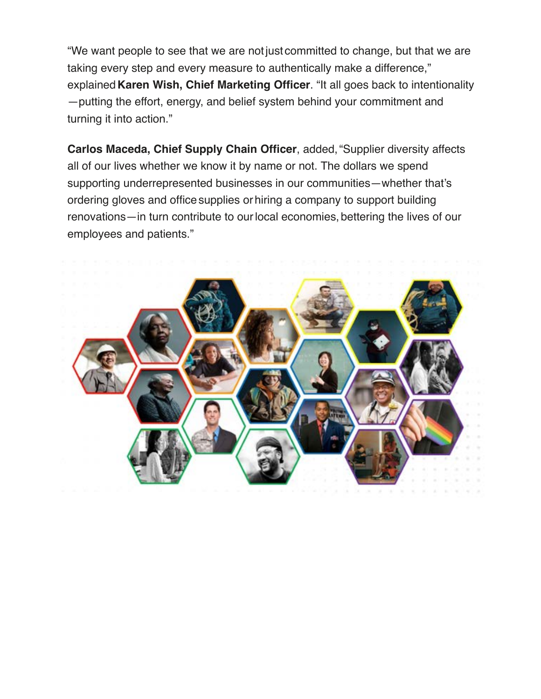"We want people to see that we are notjust committed to change, but that we are taking every step and every measure to authentically make a difference," explained**Karen Wish, Chief Marketing Officer**. "It all goes back to intentionality —putting the effort, energy, and belief system behind your commitment and turning it into action."

**Carlos Maceda, Chief Supply Chain Officer**, added,"Supplier diversity affects all of our lives whether we know it by name or not. The dollars we spend supporting underrepresented businesses in our communities—whether that's ordering gloves and office supplies or hiring a company to support building renovations—in turn contribute to our local economies, bettering the lives of our employees and patients."

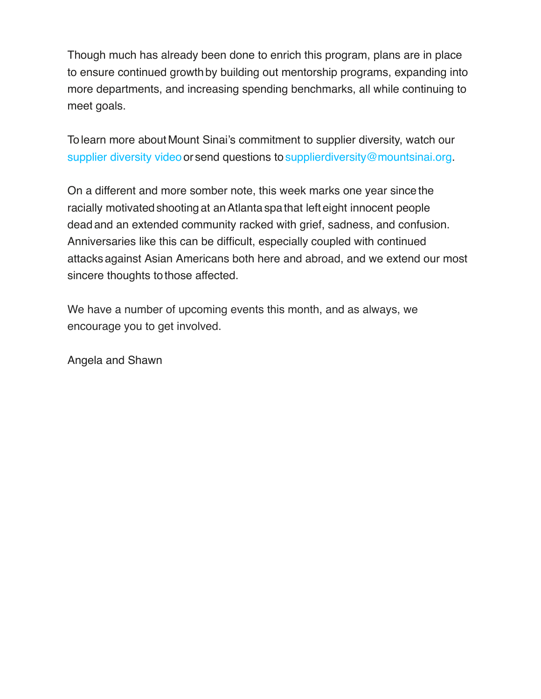Though much has already been done to enrich this program, plans are in place to ensure continued growth by building out mentorship programs, expanding into more departments, and increasing spending benchmarks, all while continuing to meet goals.

Tolearn more about Mount Sinai's commitment to supplier diversity, watch our [supplier diversity video](https://youtu.be/g4w_zMhpO6c%22%20/t%20%22_blank) or send questions to [supplierdiversity@mountsinai.org.](mailto:supplierdiversity@mountsinai.org)

On a different and more somber note, this week marks one year sincethe racially motivated shooting at an Atlanta spa that left eight innocent people dead and an extended community racked with grief, sadness, and confusion. Anniversaries like this can be difficult, especially coupled with continued attacksagainst Asian Americans both here and abroad, and we extend our most sincere thoughts to those affected.

We have a number of upcoming events this month, and as always, we encourage you to get involved.

Angela and Shawn